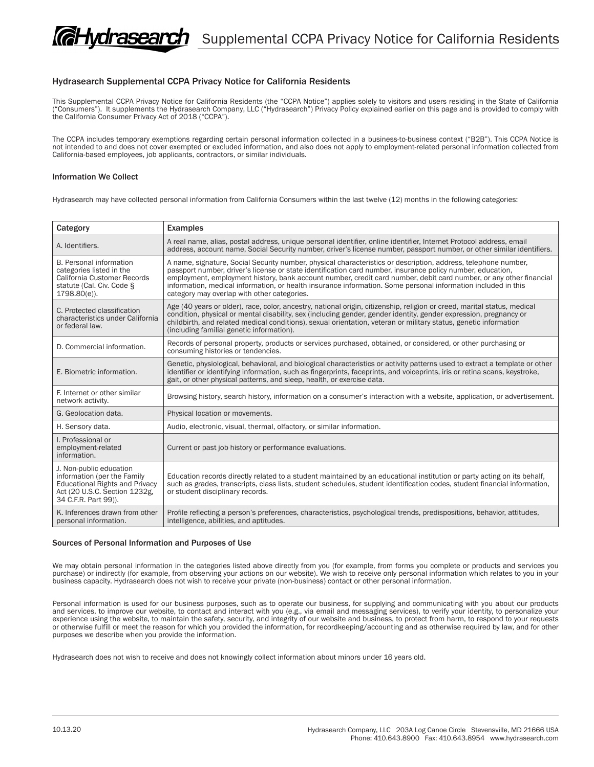# Hydrasearch Supplemental CCPA Privacy Notice for California Residents

This Supplemental CCPA Privacy Notice for California Residents (the "CCPA Notice") applies solely to visitors and users residing in the State of California ("Consumers"). It supplements the Hydrasearch Company, LLC ("Hydrasearch") Privacy Policy explained earlier on this page and is provided to comply with the California Consumer Privacy Act of 2018 ("CCPA").

The CCPA includes temporary exemptions regarding certain personal information collected in a business-to-business context ("B2B"). This CCPA Notice is not intended to and does not cover exempted or excluded information, and also does not apply to employment-related personal information collected from California-based employees, job applicants, contractors, or similar individuals.

### Information We Collect

Hydrasearch may have collected personal information from California Consumers within the last twelve (12) months in the following categories:

| Category                                                                                                                                                 | <b>Examples</b>                                                                                                                                                                                                                                                                                                                                                                                                                                                                                                    |
|----------------------------------------------------------------------------------------------------------------------------------------------------------|--------------------------------------------------------------------------------------------------------------------------------------------------------------------------------------------------------------------------------------------------------------------------------------------------------------------------------------------------------------------------------------------------------------------------------------------------------------------------------------------------------------------|
| A. Identifiers.                                                                                                                                          | A real name, alias, postal address, unique personal identifier, online identifier, Internet Protocol address, email<br>address, account name, Social Security number, driver's license number, passport number, or other similar identifiers.                                                                                                                                                                                                                                                                      |
| B. Personal information<br>categories listed in the<br>California Customer Records<br>statute (Cal. Civ. Code §<br>1798.80(e)).                          | A name, signature, Social Security number, physical characteristics or description, address, telephone number,<br>passport number, driver's license or state identification card number, insurance policy number, education,<br>employment, employment history, bank account number, credit card number, debit card number, or any other financial<br>information, medical information, or health insurance information. Some personal information included in this<br>category may overlap with other categories. |
| C. Protected classification<br>characteristics under California<br>or federal law.                                                                       | Age (40 years or older), race, color, ancestry, national origin, citizenship, religion or creed, marital status, medical<br>condition, physical or mental disability, sex (including gender, gender identity, gender expression, pregnancy or<br>childbirth, and related medical conditions), sexual orientation, veteran or military status, genetic information<br>(including familial genetic information).                                                                                                     |
| D. Commercial information.                                                                                                                               | Records of personal property, products or services purchased, obtained, or considered, or other purchasing or<br>consuming histories or tendencies.                                                                                                                                                                                                                                                                                                                                                                |
| E. Biometric information.                                                                                                                                | Genetic, physiological, behavioral, and biological characteristics or activity patterns used to extract a template or other<br>identifier or identifying information, such as fingerprints, faceprints, and voiceprints, iris or retina scans, keystroke,<br>gait, or other physical patterns, and sleep, health, or exercise data.                                                                                                                                                                                |
| F. Internet or other similar<br>network activity.                                                                                                        | Browsing history, search history, information on a consumer's interaction with a website, application, or advertisement.                                                                                                                                                                                                                                                                                                                                                                                           |
| G. Geolocation data.                                                                                                                                     | Physical location or movements.                                                                                                                                                                                                                                                                                                                                                                                                                                                                                    |
| H. Sensory data.                                                                                                                                         | Audio, electronic, visual, thermal, olfactory, or similar information.                                                                                                                                                                                                                                                                                                                                                                                                                                             |
| I. Professional or<br>employment-related<br>information.                                                                                                 | Current or past job history or performance evaluations.                                                                                                                                                                                                                                                                                                                                                                                                                                                            |
| J. Non-public education<br>information (per the Family<br><b>Educational Rights and Privacy</b><br>Act (20 U.S.C. Section 1232g,<br>34 C.F.R. Part 99)). | Education records directly related to a student maintained by an educational institution or party acting on its behalf,<br>such as grades, transcripts, class lists, student schedules, student identification codes, student financial information,<br>or student disciplinary records.                                                                                                                                                                                                                           |
| K. Inferences drawn from other<br>personal information.                                                                                                  | Profile reflecting a person's preferences, characteristics, psychological trends, predispositions, behavior, attitudes,<br>intelligence, abilities, and aptitudes.                                                                                                                                                                                                                                                                                                                                                 |

## Sources of Personal Information and Purposes of Use

We may obtain personal information in the categories listed above directly from you (for example, from forms you complete or products and services you purchase) or indirectly (for example, from observing your actions on our website). We wish to receive only personal information which relates to you in your business capacity. Hydrasearch does not wish to receive your private (non-business) contact or other personal information.

Personal information is used for our business purposes, such as to operate our business, for supplying and communicating with you about our products and services, to improve our website, to contact and interact with you (e.g., via email and messaging services), to verify your identity, to personalize your experience using the website, to maintain the safety, security, and integrity of our website and business, to protect from harm, to respond to your requests or otherwise fulfill or meet the reason for which you provided the information, for recordkeeping/accounting and as otherwise required by law, and for other purposes we describe when you provide the information.

Hydrasearch does not wish to receive and does not knowingly collect information about minors under 16 years old.